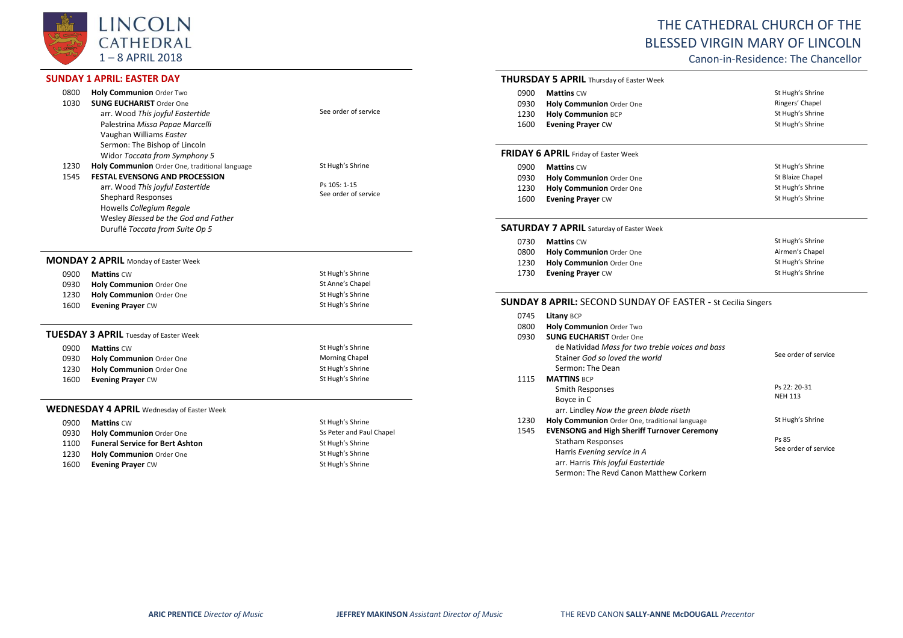

## **SUNDAY 1 APRIL: EASTER DAY**

1230 **Holy Communion** Order One

 $\sim$ 

| 0800<br>1030 | Holy Communion Order Two<br><b>SUNG EUCHARIST Order One</b> |                          |
|--------------|-------------------------------------------------------------|--------------------------|
|              | arr. Wood This joyful Eastertide                            | See order of service     |
|              | Palestrina Missa Papae Marcelli                             |                          |
|              | Vaughan Williams Easter                                     |                          |
|              | Sermon: The Bishop of Lincoln                               |                          |
|              | Widor Toccata from Symphony 5                               |                          |
| 1230         | Holy Communion Order One, traditional language              | St Hugh's Shrine         |
| 1545         | <b>FESTAL EVENSONG AND PROCESSION</b>                       |                          |
|              | arr. Wood This joyful Eastertide                            | Ps 105: 1-15             |
|              | <b>Shephard Responses</b>                                   | See order of service     |
|              | Howells Collegium Regale                                    |                          |
|              | Wesley Blessed be the God and Father                        |                          |
|              | Duruflé Toccata from Suite Op 5                             |                          |
|              |                                                             |                          |
|              | <b>MONDAY 2 APRIL</b> Monday of Easter Week                 |                          |
| 0900         | <b>Mattins CW</b>                                           | St Hugh's Shrine         |
| 0930         | Holy Communion Order One                                    | St Anne's Chapel         |
| 1230         | Holy Communion Order One                                    | St Hugh's Shrine         |
| 1600         | <b>Evening Prayer CW</b>                                    | St Hugh's Shrine         |
|              | <b>TUESDAY 3 APRIL Tuesday of Easter Week</b>               |                          |
| 0900         | <b>Mattins CW</b>                                           | St Hugh's Shrine         |
| 0930         | Holy Communion Order One                                    | Morning Chapel           |
| 1230         | Holy Communion Order One                                    | St Hugh's Shrine         |
| 1600         | <b>Evening Prayer CW</b>                                    | St Hugh's Shrine         |
|              | <b>WEDNESDAY 4 APRIL</b> Wednesday of Easter Week           |                          |
| 0900         | <b>Mattins CW</b>                                           | St Hugh's Shrine         |
| 0930         | Holy Communion Order One                                    | Ss Peter and Paul Chapel |
| 1100         | <b>Funeral Service for Bert Ashton</b>                      | St Hugh's Shrine         |
| 1230         | <b>Holy Communion</b> Order One                             | St Hugh's Shrine         |

# THE CATHEDRAL CHURCH OF THE BLESSED VIRGIN MARY OF LINCOLN

Canon-in-Residence: The Chancellor

#### **THURSDAY 5 APRIL** Thursday of Easter Week

| 0900 | <b>Mattins CW</b>               | St Hugh's Shrine |
|------|---------------------------------|------------------|
| 0930 | <b>Holy Communion</b> Order One | Ringers' Chapel  |
| 1230 | <b>Holy Communion BCP</b>       | St Hugh's Shrine |
| 1600 | <b>Evening Prayer CW</b>        | St Hugh's Shrine |

## **FRIDAY 6 APRIL** Friday of Easter Week

| 0900 | <b>Mattins CW</b>               | St Hugh's Shrine |
|------|---------------------------------|------------------|
| 0930 | <b>Holy Communion Order One</b> | St Blaize Chapel |
| 1230 | Holy Communion Order One        | St Hugh's Shrine |
| 1600 | <b>Evening Prayer CW</b>        | St Hugh's Shrine |

## **SATURDAY 7 APRIL** Saturday of Easter Week

| 0730 | <b>Mattins CW</b>               | St Hugh's Shrine |
|------|---------------------------------|------------------|
| 0800 | <b>Holy Communion Order One</b> | Airmen's Chapel  |
| 1230 | Holy Communion Order One        | St Hugh's Shrine |
| 1730 | <b>Evening Prayer CW</b>        | St Hugh's Shrine |

## **SUNDAY 8 APRIL:** SECOND SUNDAY OF EASTER - St Cecilia Singers

| 0745 | Litany BCP                                         |                      |
|------|----------------------------------------------------|----------------------|
| 0800 | <b>Holy Communion Order Two</b>                    |                      |
| 0930 | <b>SUNG EUCHARIST Order One</b>                    |                      |
|      | de Natividad Mass for two treble voices and bass   |                      |
|      | Stainer God so loved the world                     | See order of service |
|      | Sermon: The Dean                                   |                      |
| 1115 | <b>MATTINS BCP</b>                                 |                      |
|      | Smith Responses                                    | Ps 22: 20-31         |
|      | Boyce in C                                         | <b>NEH 113</b>       |
|      | arr. Lindley Now the green blade riseth            |                      |
| 1230 | Holy Communion Order One, traditional language     | St Hugh's Shrine     |
| 1545 | <b>EVENSONG and High Sheriff Turnover Ceremony</b> |                      |
|      | Statham Responses                                  | Ps 85                |
|      | Harris Evening service in A                        | See order of service |
|      | arr. Harris This joyful Eastertide                 |                      |
|      | Sermon: The Revd Canon Matthew Corkern             |                      |

1600 **Evening Prayer** CW **St Hugh's Shrine** St Hugh's Shrine